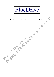

# **Environmental, Social & Governance Policy**

Private & Confidential Environmental, Social & Governance Policy<br>Environmental, Social & Governance Policy<br>River of BlueDrive Global Investors LLP<br>River of BlueDrive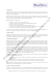

# **1. Introduction**

BlueDrive Global, has a deep commitment to maintaining the highest professional standards across all aspects of our business. This commitment has been embedded within our organisation from the beginning with our Mission Statement and our Core Principles.

BlueDrive Global's Mission Statement is: "Deliver consistent, superior, risk-adjusted investment returns through a private equity style investment approach, which includes fundamental research on structural and cyclical industry trends, intra-value chain power dynamics and detailed company analyses."

BlueDrive Global's Core Principles are:

- 1. Integrity: we say what we mean, and we do what we say
- 2. Alignment of Interests: we drive target behaviours through aligned incentives
- 3. Focus: we only invest in what we know
- 4. Excellence: we strive to deliver the best long-term risk-adjusted returns
- 5. Autonomy & Accountability: we only hire the best people and empower them to tell us what to do
- 6. Stay Lean: we believe the best decisions are made in small, focused teams

We actively encourage all BlueDrive Global members to keep our Mission Statement and Core Principles at the forefront of their minds in the day-to-day performance of their duties to BlueDrive Global.

#### **2. ESG Committee**

BlueDrive Global's ESG culture has been developed by its senior management, who maintain oversight and accountability of BlueDrive Global's approach to ESG. BlueDrive Global has established an ESG Committee consisting of senior individuals representing a range of business areas, which meets on a quarterly.

#### **3. ESG Integration Approach**

BlueDrive Global's investment objective is to preserve capital in real terms and seek to deliver consistent, superior, risk-adjusted investment returns through a private equity style investment approach. BlueDrive Global aims to achieve this investment objective by constructing a concentrated portfolio of long and short positions, predominantly in largecap global equities with a strong focus on the industrials, consumer, business services, and technology, media and telecommunication ("TMT") sectors.

We believe the nature of our investment strategy is well positioned for integrating ESG factors into the investment process. The primary objective of incorporating ESG factors into investment analysis and decisions is to manage potential risks and opportunities which may have a financial impact and maximise returns. This aligns with the overall investment objective of the funds that BlueDrive Global advises as well as our fiduciary duty to maximise returns for investors. In addition, considering ESG factors helps BlueDrive Global to develop a deeper understanding of sustainability issues and potentially reduces detrimental sustainability outcomes. consisting of senior individuals representing a range of busin<br>
3. ESG Integration Approach<br>
BlueDrive Global's investment objective is to preserve caparities<br>
risk-adjusted investment objective by constructing a concerned provide vigoty anticomparison space and space of the space of the space of the space of Global Internal Internal Internal Internal Internal Internal Internal Internal Internal Internal Internal Internal Internal Internal

BlueDrive Global uses the PRI's definition of environmental, social and governance issues that are identified or assessed in responsible investment processes:

Environmental factors are issues relating to the quality and functioning of the natural environment and natural systems.

- Social factors are issues relating to the rights, well-being and interests of people and communities.

Governance factors are issues relating to the governance of companies and other investee entities.

Using both ESG screening and integration techniques, the investment team seeks to consider how ESG risks and opportunities may have a financial impact on investment opportunities.

## 3.1 Negative Exclusion List (Screening)

We believe it is considered better practice to extend negative exclusions beyond legal requirements (such as those required by domestic/international law, bans, treaties or embargoes), where possible, and exclude assets that may be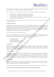

harmful to people and the planet. To this end, in addition to observing legally required exclusions, BlueDrive Global has established its own ethical framework which operates as detailed below.

Prior to committing to a new investment idea, the investment team review the following pre-screening questions:

- i. Does this industry / company directly or indirectly fund genocide?
- ii. Does this industry / company directly or indirectly fund terrorism?
- iii. Does this industry / company directly or indirectly fund slavery?
- iv. Does this industry / company operate in such a way that it is at odds with public policy (i.e., is this industry / company involved in illegal activity)?

BlueDrive Global will not proceed with the potential investment idea if we are aware that it meets any of the prescreening questions above.

## 3.2 ESG Research Process

BlueDrive Global's investment decisions are based on extensive qualitative and quantitative research an analysis. The investment team reviews ESG and sustainability reports provided by portfolio companies, as well as publicly available information and CDP reporting to capture the relevant information to complete the review. If information is not easily obtainable, the investment team will engage with the company to request additional disclosures from company management directly. The investment team considers the availability of ESG related information an important consideration when assessing a company's overall ESG approach. A considerable model in the constraints of the matrix is a considerable of the matrix of considerable considerable considerable model in the property of  $\sim$  13. The matrix of Global Investors Consider the property of  $\sim$ 

## 3.3 ESG Assessment Framework and Escalation Criteria

Using a specific scoring criterion, an Escalation Score is assigned within the internal ESG report produced by the investment team, providing guidance as to whether engagement opportunities have been identified, and whether escalation and oversight from the ESG Committee is recommended prior to investment:

- Overall Escalation Score<br>- ESG Metrics & Progress
- ESG Metrics & Progress<br>- Climate Related Risks &
- Climate Related Risks & Opportunities
- Company Specific ESG Factors

## 3.4 Stewardship

Stewardship is typically implemented through tools including engagement and proxy voting. The primary stewardship objective is to maximise the risk-return profile of individual investments. BlueDrive Global is open to collaborative engagement when opportunities present. The ESG Committee is responsible for oversight of stewardship activities and acts as a point of escalation if necessary.

# 3.4.1 Engagement

The investment team maintains communication with management on long positions and where relevant and possible, they engage with management to ensure investment objectives are consistent with management's view, making recommendations where necessary. It is not the primary objective of the investment team to invest in companies to change them fundamentally, but where a change in direction is deemed appropriate and necessary to improve performance, minimise adverse ESG impacts and enhance long-term sustainability, this is communicated accordingly. escalation and oversight from the ESG Committee is recommended to the ESG Metrics & Progress<br>
- ESG Metrics & Progress<br>
- Company Specific ESG Factors<br>
- Company Specific ESG Factors<br>
3.4 Stewardship<br>
Stewardship<br>
Stewards

# 3.4.2 Proxy Voting

We consider that exercising our voting rights is an important feature of our investment process. We adopt the same research-driven approach to our proxy voting responsibilities, and we consistently seek to vote on all issues in the best interests of our Funds, and in order to maximise shareholder value.

We have partnered with Institutional Shareholder Services ("ISS") and we subscribe to their proxy research services.

# 3.4.3 UK Stewardship Code and Shareholder Rights Directive II ("SRD II") Engagement Policy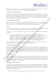

BlueDrive Global's statements on the UK Stewardship Code and Shareholder Rights Directive II ("SRD II") Engagement Policy can be found on our website: [https://www.bluedriveglobal.com/.](https://www.bluedriveglobal.com/) 

#### 3.5 Approach to Sustainability Outcomes

The investment team considers sustainability risks as a part of the ESG Assessment as detailed above. This includes collecting certain environmental and social metrics on each company where available and considering the TCFD's Climate-related Risks and Opportunities associated with each investment opportunity. Whilst the investment team seeks to avoid adverse sustainability outcomes from its investments, it is not currently BlueDrive Global's policy or investment objective to seek specific sustainability outcomes.

#### **4. Memberships of Industry Bodies**

BlueDrive Global believes that participation in industry bodies demonstrates our commitment to responsible investing, helps us to be active owners, promotes appropriate ESG disclosures and helps us to learn and enhance our effectiveness in ESG. To this end, BlueDrive Global is affiliated with the following organisations.

#### 4.1 PRI

BlueDrive Global became signatories of the UN-supported Principles for Responsible Investment (PRI) on 12th July 2021. The PRI is fast becoming a global standard for investment managers' ESG alignment.

Through its association with the PRI, BlueDrive Global is committed to adhering to the six Principles for Responsible Investment:

- Principle 1: We will incorporate ESG issues into investment analysis and decision-making processes.<br>- Principle 2: We will be active owners and incorporate ESG issues into our ownership policies and pr
- Principle 2: We will be active owners and incorporate ESG issues into our ownership policies and practices.<br>- Principle 3: We will seek appropriate disclosure on ESG issues by the entities in which we invest.
- Principle 3: We will seek appropriate disclosure on ESG issues by the entities in which we invest.
- Principle 4: We will promote acceptance and implementation of the Principles within the investment industry.<br>- Principle 5: We will work together to enhance our effectiveness in implementing the Principles
- Principle 5: We will work together to enhance our effectiveness in implementing the Principles.<br>- Principle 6: We will each report on our activities and progress towards implementing the Princip
- Principle 6: We will each report on our activities and progress towards implementing the Principles.

BlueDrive Global will report annually to the PRI on the firm's responsible investment initiatives, activities and achievements and seeks to meet the standards expected by the PRI in doing so.

# 4.2 Carbon Disclosure Project ("CDP")

BlueDrive Global became Investor Signatories of the CDP on 6th July 2021. The CDP is a non-for-profit charity, seeking to promote industrial-scale environmental disclosure and engagement, aligned with the TCFD. The CDP runs a global disclosure system for investors to manage environmental impacts. As an investor signatory, BlueDrive Global is able to nominate companies to report on environmental factors (climate, forests and water). BlueDrive Global can also access a database of environmental information to inform decision making, engage with companies, reduce ESG risks and identify opportunities. Trinciple 3: We will seek appropriate disclosure on<br>
Trinciple 4: We will promote acceptance and implement<br>
Principle 5: We will work together to enhance our<br>
Trinciple 6: We will work together to enhance our<br>
BlueDrive Gl solo to solo anticic Solomonic Coloring to the Blue Distribution in the section of the BlueDrive Global Investors LLP (BlueDrive Global Investors LLP (BlueDrive Global Investors In the BlueDrive Global Internaction in the

# 4.3 Say on Climate

Say On Climate believes that all listed companies have an influence on climate change and all need to take action to address their emissions. The Say On Climate campaign calls on companies to disclose carbon emissions each year, publish a 'credible' climate transition plan and give shareholders an annual advisory vote on the plan. Though BlueDrive Global's support for "Say On Climate", we encourage all listed companies to submit a Climate Transition Action Plan at their AGM for a shareholder vote.

## **5. BlueDrive Firm ESG Procedures**

In addition to the ESG approach deployed within the investment process, BlueDrive Global believes it is important to operate its own business in line with good ESG practices. As such, BlueDrive Global has implemented the following business initiatives across the three pillars of Environmental, Social and Governance. The ESG Committee is responsible for ESG initiatives at the management company level and is constantly seeking to improve and enhance BlueDrive Global's own ESG culture.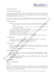

# 5.1 Environmental Initiatives

## 5.1.1 Commitment to Carbon Neutrality

At the beginning of 2020, BlueDrive Global committed to achieving carbon neutrality at a firm level. In February 2020, we engaged Carbon Footprint Ltd, which is a software tool that enables companies to calculate their business carbon footprint, independently verify it and offset it via a choice of offsetting projects, all of which have met the Quality Assurance Standard ("QAS") for Carbon Offsetting.

At the end of April 2020, Carbon Footprint Ltd certified BlueDrive Global as a "Carbon Neutral Plus Organization" and issued us with a certificate confirming that BlueDrive Global has fully offset our carbon footprint for 2019.

## 5.1.2 Waste Management

- BlueDrive Global has taken steps to reduce paper usage to a bare minimum through the following initiatives:
	- Electronic signing tools are used (where permitted) to avoid the need to print and sign in hard copies.
	- In-person meeting attendees are offered soft copies of presentations rather than printing presentation decks on paper.
	- Paper available for use in printers is recycled paper.
- No plastic cups, crockery or cutlery are available in the office. Staff use reusable crockery, cutlery, and glasses, removing the use of single-use plastics from the office.
- Water bottle filling stations are in use to reduce plastic water bottle waste.
- All recyclable waste is sorted onsite and recycled.
- Coffee machines in the office use coffee pods which are recycled after use.
- Reusable coffee cups are provided to all staff for use when purchasing take-away coffee to minimise waste.

## 5.1.3 Energy Efficiency

- The lighting in our office lounges is an energy saving form of lighting, optimising an LED strip lighting.
- Staff computers are set to enter standby state when unattended or locked.
- 100% of the energy used in the building is provided by renewable sources.

## 5.1.4 Travel Practices

- Staff are encouraged to walk or cycle to work if possible, and BlueDrive Global offers a cycle-to-work scheme.
- Whilst some business travel is required, it is kept to a minimum, with trips requiring a business reason prior to booking.
- Trains are used where practical as an alternative to flying (e.g. Eurostar).

# 5.1.5 Supply Chain Management

- BlueDrive Global subscribes to the Ethical Consumer (https://www.ethicalconsumer.org/) which provides ethical ratings of over 40,000 brands and products allowing us to assess the sustainability of products purchased for the office.<br>Where possible, 5.1.3 Energy Efficiency<br>
- The lighting in our office lounges is an energy saving - Staff computers are set to enter standily state when<br>
- 100% of the energy used in the building is provided<br>
5.1.4 Travel Practices<br>
- St
- Where possible, Office supplies are also sourced from The Green Office (https://www.thegreenoffice.co.uk/) which provides sustainable office supplies (i.e., recycled paper and products with no plastic packaging). At the und of Appli 2020, Carbon Footprins Lal certified Rharbore Global Instead Property and Rharbore Clobal Instead Property and Since Clobal Instead Property of BlueDrive Global Instead Property of BlueDrive Global Ins

# **5.2 Social Initiatives**

1 Diversity and Inclusion Policy

# Introduction

BlueDrive Global recognises and values the diversity of our staff and we are committed to developing working practices and a workplace which allows every member of staff to contribute his or her best, regardless of race, colour, religion, creed, sex, age, national origin, citizenship status, disability, qualified veteran status, genetic information, marital status, sexual orientation and gender identity.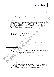

## Definition of Diversity and Inclusion

- Diversity includes but is not limited to differences in race, colour, religion, creed, sex, age, national origin, citizenship status, disability, qualified veteran status, genetic information, marital status, sexual orientation and gender identity. Diversity also includes differences in backgrounds, experiences, perspectives, thoughts, interests and ideas.
- Inclusion is the practice of equal recognition, respect and merit-based evaluation. This means ensuring that all staff are valued, heard, engaged and involved at work to have equal opportunities to collaborate, contribute and grow professionally.

## Why we believe Diversity and Inclusion is important

- We recognise the importance of a diverse workforce and believe all staff have a fundamental right to work in a place that they feel comfortable and can progress to the best of their abilities.
- BlueDrive Global's Equal Opportunities Policy is contained within the Employee Handbook.
- BlueDrive Global aims to create and maintain a work environment, which ensures that no individual is treated<br>
less favourably on the grounds of their:<br>
 Gender, sexual orientation or reassignment of gender;<br>
 race, ethni less favourably on the grounds of their:
	- Gender, sexual orientation or reassignment of gender;
	- race, ethnic or national origin;
	- marital or parental status;
	- age;
	- religion or political conviction;
	- membership or non-membership of a trade union;
	- disability;
	- pregnancy and shared parental leave; and/or
	- association with any of the above.

# **Responsibility**

- We believe senior leadership is crucial in developing a positive environment for diversity and inclusion across the firm. In addition, we believe it is important to consider a diverse range of views and opinions from our staff as initiatives are considered and implemented. • association with any of the above.<br>
Responsibility<br>
• We believe senior leadership is crucial in developing<br>
the firm. In addition, we believe it is important to<br>
starf as initiatives are considered and implemented.<br>
• T Examine the three property and the material control of BlueDrive Global Institute Global Institute Global Institute Global Institute Global Institute Global Institute Global Internal Control of BlueDrive Global Institute
	- The ESG Committee is responsible for considering appropriate action and shaping BlueDrive Global's strategy and progress on diversity and inclusion matters.

# Diversity and Inclusion Initiative

- Internal Policies
	- Underpinning our approach to Diversity and Inclusion, BlueDrive Global has the following policies in place:
		- Equal opportunities covering UK local legislation
		- Code of Ethics

Recruitment

- As a small firm, hiring is not a frequent event but when we do hire, BlueDrive Global seeks to attract a diverse pool of candidates during the recruitment process.
- CVs are screened by focusing on the skills required to succeed in a role, rather than the specific qualifications and attributes of the candidate.
- etention
	- Whilst attracting and hiring diverse talent is essential, we recognise that this is only the first step in improving diversity and inclusion, and it is essential to create an environment that helps to retain diverse talent.
	- BlueDrive Global places significant value on the wellbeing of its staff. Several initiatives have been put in place designed to improve employee health, family and wellbeing and create an inclusive working culture.
	- Any social activities organised by the firm are designed to cater to all members of staff.
	- In recognition of holidays or other events marked by minority groups, no meetings are arranged on public holidays or festivals.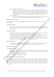

- Promotion, Training and Development
	- BlueDrive Global considers enhancing employees' skills and knowledge is beneficial both to the organisation and the individuals. Employees are encouraged to complete training relevant to the business and BlueDrive Global will consider each individual request. BlueDrive Global makes arrangements to accommodate the relevant training including providing study leave and/or funding training courses which are core to a function, and funds non-core training at our discretion.
- External Engagement
	- BlueDrive Global is looking into opportunities for external engagement with a focus on creating opportunities in the industry for individuals who may otherwise not typically have access.

## Diversity and Inclusion Training

As noted above, diversity and inclusion training is provided to all staff on Diversity & Inclusion on an annual basis, or more if required.

#### 5.2.2 Employee Wellbeing

- BlueDrive Global places significant value on the wellbeing of its staff. Several company benefits and initiatives have been implemented, designed to improve employee health, family and wellbeing and create an inclusive working culture.

## 5.2.3 Internal Engagement

- At BlueDrive Global, we are committed to providing a positive and stimulating environment for all members. We place a high value on openness, transparency and shared learning across the team.
- We also regularly organize team-building and social events throughout the year, including bi-monthly team lunches, quarterly team dinners, quarterly team potluck lunches and an annual summer event.
- In our experience, these events provide an important opportunity for our team to learn about each other's role within the organization and to get to know each other outside of the office. We are proud of the strong team culture we have built and we are committed to maintaining it as we grow. - In our experience, these events provide an import<br>
role within the organization and to get to know each<br>
team culture we have built and we are committed to<br>
5.2.4 External Engagement<br>
- Staff are encouraged to participat

## 5.2.4 External Engagement

- Staff are encouraged to participate in volunteering initiatives in local communities and time off is provided.
- We are looking into establishing a more formal charitable matching programme across the firm.

# 5.3 Governance Initiative

# 5.3.1 Governance Structure

- To demonstrate robust corporate governance, BlueDrive Global has established reporting lines, appointed boards of directors and formed committees to ensure appropriate oversight and accountability of the firm's actions, practices, and policies. These include:
	- Regular Governing Body meetings; and
	- Regular internal committee meetings.

# ransparency and Fair Treatment of Investors

At BlueDrive Global, we regard our investors as partners in our business. We are therefore committed to establishing and maintaining a transparent relationship with all investors and ensuring fair treatment of all. We believe that the better our investors understand what we do, the higher likelihood we have in building long-term partnerships. We welcome any engagement initiated by our investors and we are always happy to respond to questions or discuss any aspect of our business with our investors. We also greatly value feedback and are always keen to hear from our investors in this regard. Decrease and hereafter the indetergoise in the distribution for the process not spitally have access<br>
As noted above, diversify a the site of the site of the site of the site of the site of the site of the site of the si